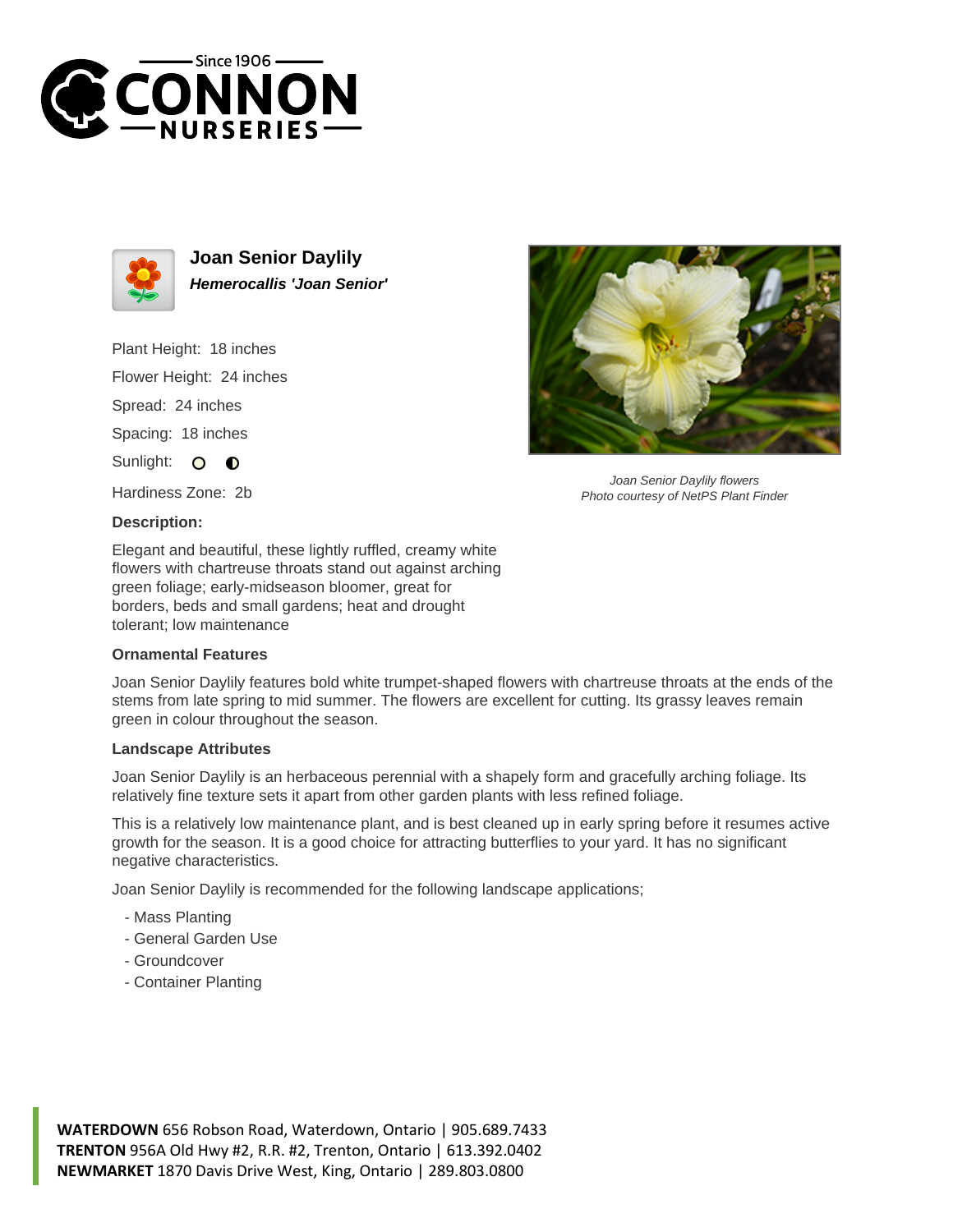



**Joan Senior Daylily Hemerocallis 'Joan Senior'**

Plant Height: 18 inches Flower Height: 24 inches Spread: 24 inches

Spacing: 18 inches

Sunlight: O  $\bullet$ 

Hardiness Zone: 2b

## **Description:**

Elegant and beautiful, these lightly ruffled, creamy white flowers with chartreuse throats stand out against arching green foliage; early-midseason bloomer, great for borders, beds and small gardens; heat and drought tolerant; low maintenance

## **Ornamental Features**

Joan Senior Daylily features bold white trumpet-shaped flowers with chartreuse throats at the ends of the stems from late spring to mid summer. The flowers are excellent for cutting. Its grassy leaves remain green in colour throughout the season.

## **Landscape Attributes**

Joan Senior Daylily is an herbaceous perennial with a shapely form and gracefully arching foliage. Its relatively fine texture sets it apart from other garden plants with less refined foliage.

This is a relatively low maintenance plant, and is best cleaned up in early spring before it resumes active growth for the season. It is a good choice for attracting butterflies to your yard. It has no significant negative characteristics.

Joan Senior Daylily is recommended for the following landscape applications;

- Mass Planting
- General Garden Use
- Groundcover
- Container Planting



Joan Senior Daylily flowers Photo courtesy of NetPS Plant Finder

**WATERDOWN** 656 Robson Road, Waterdown, Ontario | 905.689.7433 **TRENTON** 956A Old Hwy #2, R.R. #2, Trenton, Ontario | 613.392.0402 **NEWMARKET** 1870 Davis Drive West, King, Ontario | 289.803.0800